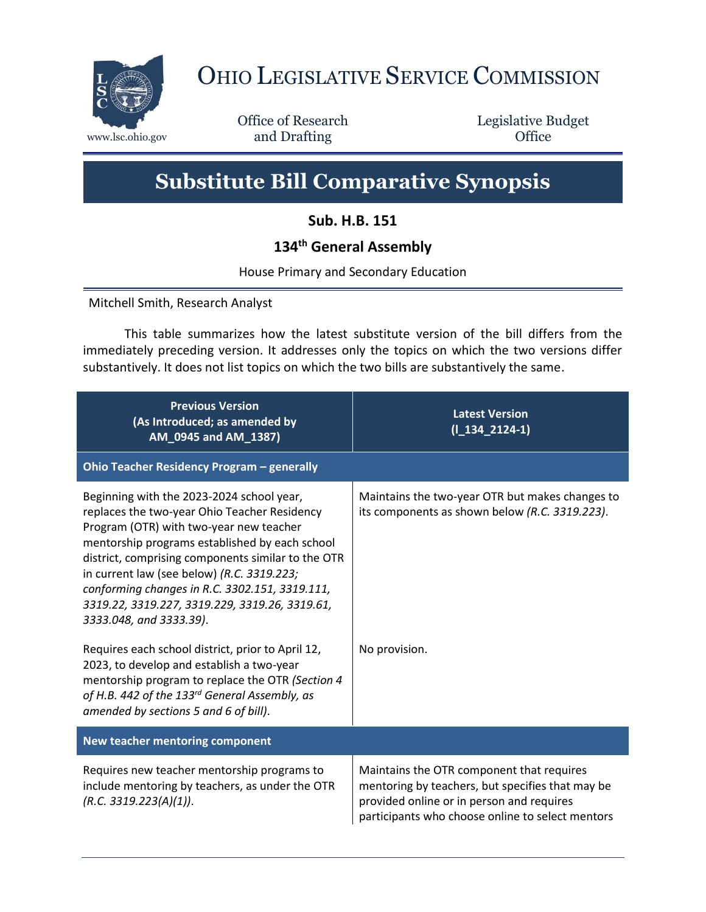

## OHIO LEGISLATIVE SERVICE COMMISSION

Office of Research www.lsc.ohio.gov **and Drafting Office** 

Legislative Budget

## **Substitute Bill Comparative Synopsis**

**Sub. H.B. 151**

## **134th General Assembly**

House Primary and Secondary Education

Mitchell Smith, Research Analyst

This table summarizes how the latest substitute version of the bill differs from the immediately preceding version. It addresses only the topics on which the two versions differ substantively. It does not list topics on which the two bills are substantively the same.

| <b>Previous Version</b><br>(As Introduced; as amended by<br>AM_0945 and AM_1387)                                                                                                                                                                                                                                                                                                                                                                                               | <b>Latest Version</b><br>$(I_134_2124-1)$                                                                                                                                                      |  |
|--------------------------------------------------------------------------------------------------------------------------------------------------------------------------------------------------------------------------------------------------------------------------------------------------------------------------------------------------------------------------------------------------------------------------------------------------------------------------------|------------------------------------------------------------------------------------------------------------------------------------------------------------------------------------------------|--|
| Ohio Teacher Residency Program - generally                                                                                                                                                                                                                                                                                                                                                                                                                                     |                                                                                                                                                                                                |  |
| Beginning with the 2023-2024 school year,<br>replaces the two-year Ohio Teacher Residency<br>Program (OTR) with two-year new teacher<br>mentorship programs established by each school<br>district, comprising components similar to the OTR<br>in current law (see below) (R.C. 3319.223;<br>conforming changes in R.C. 3302.151, 3319.111,<br>3319.22, 3319.227, 3319.229, 3319.26, 3319.61,<br>3333.048, and 3333.39).<br>Requires each school district, prior to April 12, | Maintains the two-year OTR but makes changes to<br>its components as shown below (R.C. 3319.223).<br>No provision.                                                                             |  |
| 2023, to develop and establish a two-year<br>mentorship program to replace the OTR (Section 4<br>of H.B. 442 of the 133rd General Assembly, as<br>amended by sections 5 and 6 of bill).                                                                                                                                                                                                                                                                                        |                                                                                                                                                                                                |  |
| New teacher mentoring component                                                                                                                                                                                                                                                                                                                                                                                                                                                |                                                                                                                                                                                                |  |
| Requires new teacher mentorship programs to<br>include mentoring by teachers, as under the OTR<br>(R.C. 3319.223(A)(1)).                                                                                                                                                                                                                                                                                                                                                       | Maintains the OTR component that requires<br>mentoring by teachers, but specifies that may be<br>provided online or in person and requires<br>participants who choose online to select mentors |  |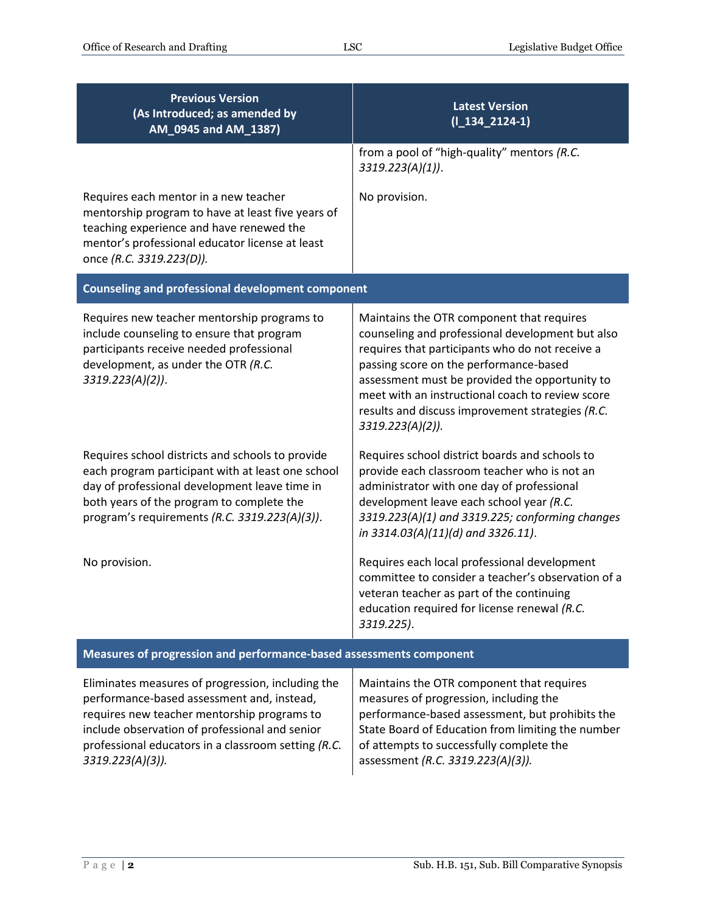| <b>Previous Version</b><br>(As Introduced; as amended by<br>AM_0945 and AM_1387)                                                                                                                                                                     | <b>Latest Version</b><br>$(I_134_2124-1)$                                                                                                                                                                                                                                                                                                                                |  |
|------------------------------------------------------------------------------------------------------------------------------------------------------------------------------------------------------------------------------------------------------|--------------------------------------------------------------------------------------------------------------------------------------------------------------------------------------------------------------------------------------------------------------------------------------------------------------------------------------------------------------------------|--|
|                                                                                                                                                                                                                                                      | from a pool of "high-quality" mentors (R.C.<br>3319.223(A)(1)).                                                                                                                                                                                                                                                                                                          |  |
| Requires each mentor in a new teacher<br>mentorship program to have at least five years of<br>teaching experience and have renewed the<br>mentor's professional educator license at least<br>once (R.C. 3319.223(D)).                                | No provision.                                                                                                                                                                                                                                                                                                                                                            |  |
| <b>Counseling and professional development component</b>                                                                                                                                                                                             |                                                                                                                                                                                                                                                                                                                                                                          |  |
| Requires new teacher mentorship programs to<br>include counseling to ensure that program<br>participants receive needed professional<br>development, as under the OTR (R.C.<br>3319.223(A)(2)).                                                      | Maintains the OTR component that requires<br>counseling and professional development but also<br>requires that participants who do not receive a<br>passing score on the performance-based<br>assessment must be provided the opportunity to<br>meet with an instructional coach to review score<br>results and discuss improvement strategies (R.C.<br>3319.223(A)(2)). |  |
| Requires school districts and schools to provide<br>each program participant with at least one school<br>day of professional development leave time in<br>both years of the program to complete the<br>program's requirements (R.C. 3319.223(A)(3)). | Requires school district boards and schools to<br>provide each classroom teacher who is not an<br>administrator with one day of professional<br>development leave each school year (R.C.<br>3319.223(A)(1) and 3319.225; conforming changes<br>in 3314.03(A)(11)(d) and 3326.11).                                                                                        |  |
| No provision.                                                                                                                                                                                                                                        | Requires each local professional development<br>committee to consider a teacher's observation of a<br>veteran teacher as part of the continuing<br>education required for license renewal (R.C.<br>3319.225).                                                                                                                                                            |  |
| Measures of progression and performance-based assessments component                                                                                                                                                                                  |                                                                                                                                                                                                                                                                                                                                                                          |  |

Eliminates measures of progression, including the performance-based assessment and, instead, requires new teacher mentorship programs to include observation of professional and senior professional educators in a classroom setting *(R.C. 3319.223(A)(3)).* Maintains the OTR component that requires measures of progression, including the performance-based assessment, but prohibits the State Board of Education from limiting the number of attempts to successfully complete the assessment *(R.C. 3319.223(A)(3)).*